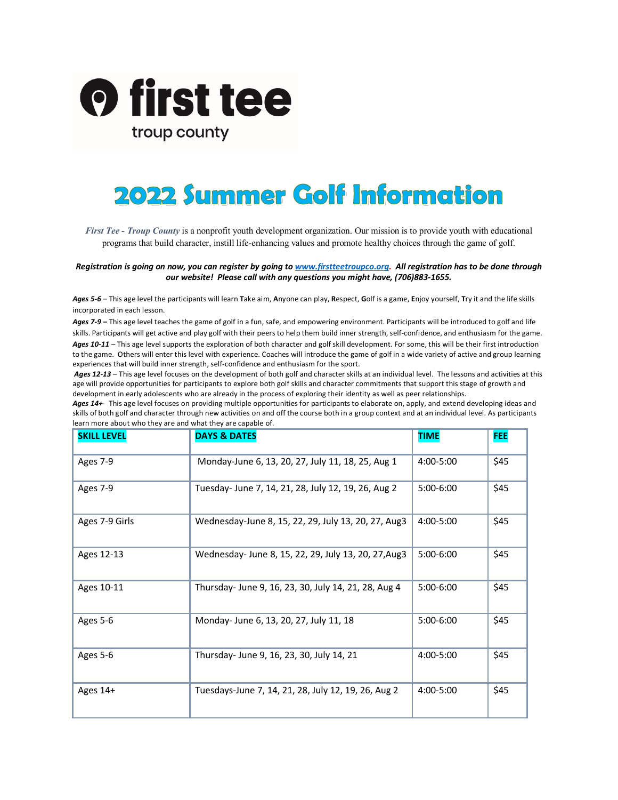

## **2022 Summer Golf Information**

*First Tee - Troup County* is a nonprofit youth development organization. Our mission is to provide youth with educational programs that build character, instill life-enhancing values and promote healthy choices through the game of golf.

*Registration is going on now, you can register by going t[o www.firstteetroupco.org.](http://www.firstteetroupco.org/) All registration has to be done through our website! Please call with any questions you might have, (706)883-1655.*

*Ages 5-6* – This age level the participants will learn **T**ake aim, **A**nyone can play, **R**espect, **G**olf is a game, **E**njoy yourself, **T**ry it and the life skills incorporated in each lesson.

*Ages 7-9* **–** This age level teaches the game of golf in a fun, safe, and empowering environment. Participants will be introduced to golf and life skills. Participants will get active and play golf with their peers to help them build inner strength, self-confidence, and enthusiasm for the game. *Ages 10-11* – This age level supports the exploration of both character and golf skill development. For some, this will be their first introduction to the game. Others will enter this level with experience. Coaches will introduce the game of golf in a wide variety of active and group learning experiences that will build inner strength, self-confidence and enthusiasm for the sport.

Ages 12-13 – This age level focuses on the development of both golf and character skills at an individual level. The lessons and activities at this age will provide opportunities for participants to explore both golf skills and character commitments that support this stage of growth and development in early adolescents who are already in the process of exploring their identity as well as peer relationships.

*Ages 14+*-This age level focuses on providing multiple opportunities for participants to elaborate on, apply, and extend developing ideas and skills of both golf and character through new activities on and off the course both in a group context and at an individual level. As participants learn more about who they are and what they are capable of.

| <b>SKILL LEVEL</b> | <b>DAYS &amp; DATES</b>                              | <b>TIME</b>   | <b>FEE</b> |
|--------------------|------------------------------------------------------|---------------|------------|
| Ages 7-9           | Monday-June 6, 13, 20, 27, July 11, 18, 25, Aug 1    | 4:00-5:00     | \$45       |
| Ages 7-9           | Tuesday-June 7, 14, 21, 28, July 12, 19, 26, Aug 2   | $5:00-6:00$   | \$45       |
| Ages 7-9 Girls     | Wednesday-June 8, 15, 22, 29, July 13, 20, 27, Aug3  | $4:00 - 5:00$ | \$45       |
| Ages 12-13         | Wednesday-June 8, 15, 22, 29, July 13, 20, 27, Aug 3 | $5:00-6:00$   | \$45       |
| Ages 10-11         | Thursday-June 9, 16, 23, 30, July 14, 21, 28, Aug 4  | $5:00-6:00$   | \$45       |
| Ages 5-6           | Monday-June 6, 13, 20, 27, July 11, 18               | $5:00-6:00$   | \$45       |
| Ages 5-6           | Thursday- June 9, 16, 23, 30, July 14, 21            | 4:00-5:00     | \$45       |
| Ages 14+           | Tuesdays-June 7, 14, 21, 28, July 12, 19, 26, Aug 2  | 4:00-5:00     | \$45       |